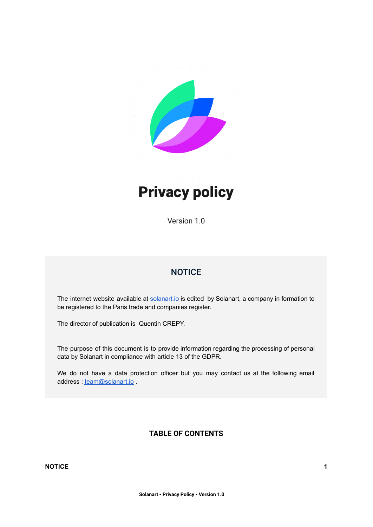

# Privacy policy

Version 1.0

# **NOTICE**

<span id="page-0-0"></span>The internet website available at [solanart.io](https://solanart.io/) is edited by Solanart, a company in formation to be registered to the Paris trade and companies register.

The director of publication is Quentin CREPY.

The purpose of this document is to provide information regarding the processing of personal data by Solanart in compliance with article 13 of the GDPR.

<span id="page-0-1"></span>We do not have a data protection officer but you may contact us at the following email address : [team@solanart.io](mailto:team@solanart.io).

# **TABLE OF CONTENTS**

#### **[NOTICE](#page-0-0) [1](#page-0-0)**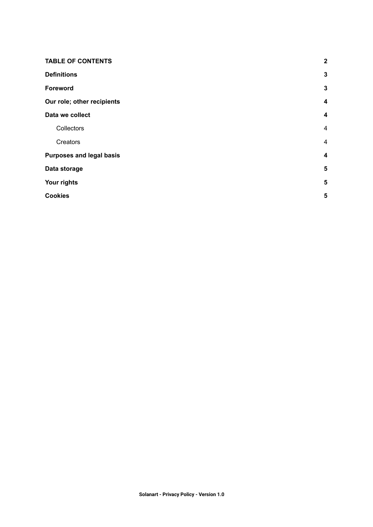| <b>TABLE OF CONTENTS</b>        |                         |  |
|---------------------------------|-------------------------|--|
| <b>Definitions</b>              |                         |  |
| Foreword                        | $\mathbf{3}$            |  |
| Our role; other recipients      |                         |  |
| Data we collect                 | $\boldsymbol{4}$        |  |
| Collectors                      | 4                       |  |
| Creators                        | $\overline{4}$          |  |
| <b>Purposes and legal basis</b> |                         |  |
| Data storage                    | $\sqrt{5}$              |  |
| Your rights                     | $\overline{\mathbf{5}}$ |  |
| <b>Cookies</b>                  | 5                       |  |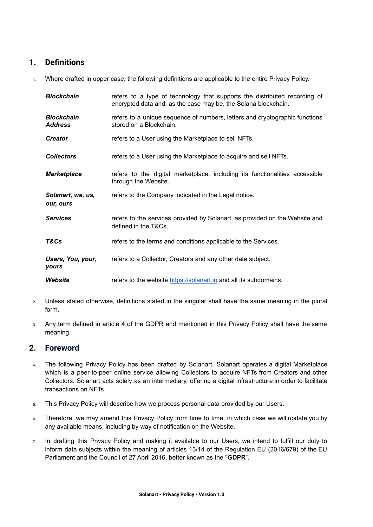# <span id="page-2-0"></span>**1. Definitions**

1. Where drafted in upper case, the following definitions are applicable to the entire Privacy Policy.

| <b>Blockchain</b>                   | refers to a type of technology that supports the distributed recording of<br>encrypted data and, as the case may be, the Solana blockchain. |  |
|-------------------------------------|---------------------------------------------------------------------------------------------------------------------------------------------|--|
| <b>Blockchain</b><br><b>Address</b> | refers to a unique sequence of numbers, letters and cryptographic functions<br>stored on a Blockchain.                                      |  |
| <b>Creator</b>                      | refers to a User using the Marketplace to sell NFTs.                                                                                        |  |
| <b>Collectors</b>                   | refers to a User using the Marketplace to acquire and sell NFTs.                                                                            |  |
| <b>Marketplace</b>                  | refers to the digital marketplace, including its functionalities accessible<br>through the Website.                                         |  |
| Solanart, we, us,<br>our, ours      | refers to the Company indicated in the Legal notice.                                                                                        |  |
| <b>Services</b>                     | refers to the services provided by Solanart, as provided on the Website and<br>defined in the T&Cs.                                         |  |
| T&Cs                                | refers to the terms and conditions applicable to the Services.                                                                              |  |
| Users, You, your,<br>yours          | refers to a Collector, Creators and any other data subject.                                                                                 |  |
| Website                             | refers to the website https://solanart.io and all its subdomains.                                                                           |  |

- 2. Unless stated otherwise, definitions stated in the singular shall have the same meaning in the plural form.
- 3. Any term defined in article 4 of the GDPR and mentioned in this Privacy Policy shall have the same meaning.

# <span id="page-2-1"></span>**2. Foreword**

- 4. The following Privacy Policy has been drafted by Solanart. Solanart operates a digital Marketplace which is a peer-to-peer online service allowing Collectors to acquire NFTs from Creators and other Collectors. Solanart acts solely as an intermediary, offering a digital infrastructure in order to facilitate transactions on NFTs.
- 5. This Privacy Policy will describe how we process personal data provided by our Users.
- 6. Therefore, we may amend this Privacy Policy from time to time, in which case we will update you by any available means, including by way of notification on the Website.
- 7. In drafting this Privacy Policy and making it available to our Users, we intend to fulfill our duty to inform data subjects within the meaning of articles 13/14 of the Regulation EU (2016/679) of the EU Parliament and the Council of 27 April 2016, better known as the "**GDPR**".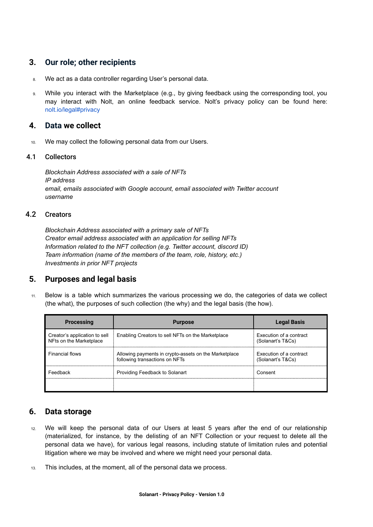# <span id="page-3-0"></span>**3. Our role; other recipients**

- 8. We act as a data controller regarding User's personal data.
- 9. While you interact with the Marketplace (e.g., by giving feedback using the corresponding tool, you may interact with Nolt, an online feedback service. Nolt's privacy policy can be found here: [nolt.io/legal#privacy](https://nolt.io/legal#privacy)

#### <span id="page-3-1"></span>**4. Data we collect**

10. We may collect the following personal data from our Users.

#### 4.1 Collectors

<span id="page-3-2"></span>*Blockchain Address associated with a sale of NFTs IP address email, emails associated with Google account, email associated with Twitter account username*

#### 4.2 Creators

<span id="page-3-3"></span>*Blockchain Address associated with a primary sale of NFTs Creator email address associated with an application for selling NFTs Information related to the NFT collection (e.g. Twitter account, discord ID) Team information (name of the members of the team, role, history, etc.) Investments in prior NFT projects*

#### <span id="page-3-4"></span>**5. Purposes and legal basis**

11. Below is a table which summarizes the various processing we do, the categories of data we collect (the what), the purposes of such collection (the why) and the legal basis (the how).

| <b>Processing</b>                                        | <b>Purpose</b>                                                                          | <b>Legal Basis</b>                           |
|----------------------------------------------------------|-----------------------------------------------------------------------------------------|----------------------------------------------|
| Creator's application to sell<br>NFts on the Marketplace | Enabling Creators to sell NFTs on the Marketplace                                       | Execution of a contract<br>(Solanart's T&Cs) |
| <b>Financial flows</b>                                   | Allowing payments in crypto-assets on the Marketplace<br>following transactions on NFTs | Execution of a contract<br>(Solanart's T&Cs) |
| Feedback                                                 | Providing Feedback to Solanart                                                          | Consent                                      |
|                                                          |                                                                                         |                                              |

# <span id="page-3-5"></span>**6. Data storage**

- 12. We will keep the personal data of our Users at least 5 years after the end of our relationship (materialized, for instance, by the delisting of an NFT Collection or your request to delete all the personal data we have), for various legal reasons, including statute of limitation rules and potential litigation where we may be involved and where we might need your personal data.
- 13. This includes, at the moment, all of the personal data we process.